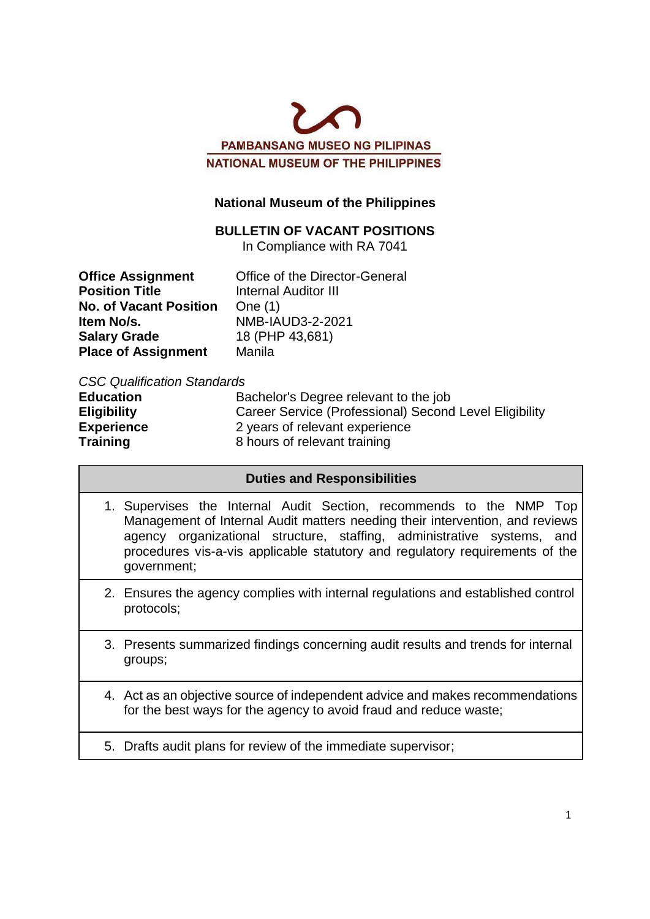

## **National Museum of the Philippines**

## **BULLETIN OF VACANT POSITIONS**

In Compliance with RA 7041

| <b>Office Assignment</b>      | Office of the Director-General |
|-------------------------------|--------------------------------|
| <b>Position Title</b>         | <b>Internal Auditor III</b>    |
| <b>No. of Vacant Position</b> | One $(1)$                      |
| Item No/s.                    | NMB-IAUD3-2-2021               |
| <b>Salary Grade</b>           | 18 (PHP 43,681)                |
| <b>Place of Assignment</b>    | Manila                         |

#### *CSC Qualification Standards*

| <b>Education</b>   | Bachelor's Degree relevant to the job                  |
|--------------------|--------------------------------------------------------|
| <b>Eligibility</b> | Career Service (Professional) Second Level Eligibility |
| <b>Experience</b>  | 2 years of relevant experience                         |
| Training           | 8 hours of relevant training                           |

#### **Duties and Responsibilities**

- 1. Supervises the Internal Audit Section, recommends to the NMP Top Management of Internal Audit matters needing their intervention, and reviews agency organizational structure, staffing, administrative systems, and procedures vis-a-vis applicable statutory and regulatory requirements of the government;
- 2. Ensures the agency complies with internal regulations and established control protocols;
- 3. Presents summarized findings concerning audit results and trends for internal groups;
- 4. Act as an objective source of independent advice and makes recommendations for the best ways for the agency to avoid fraud and reduce waste;
- 5. Drafts audit plans for review of the immediate supervisor;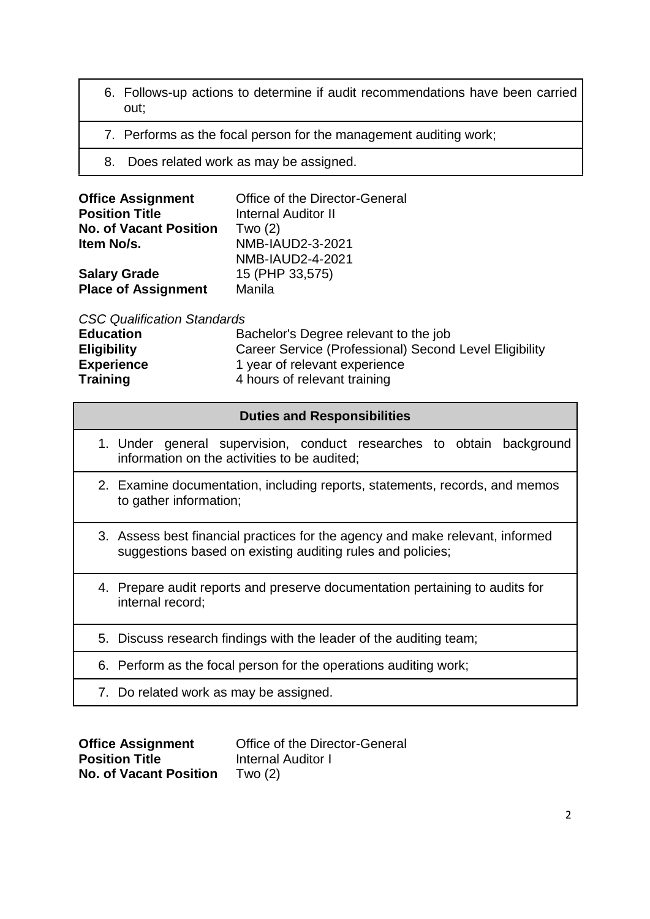- 6. Follows-up actions to determine if audit recommendations have been carried out;
- 7. Performs as the focal person for the management auditing work;
- 8. Does related work as may be assigned.

| <b>Office Assignment</b>      | Office of the Director-General |
|-------------------------------|--------------------------------|
| <b>Position Title</b>         | <b>Internal Auditor II</b>     |
| <b>No. of Vacant Position</b> | Two $(2)$                      |
| Item No/s.                    | NMB-IAUD2-3-2021               |
|                               | NMB-IAUD2-4-2021               |
| <b>Salary Grade</b>           | 15 (PHP 33,575)                |
| <b>Place of Assignment</b>    | Manila                         |

*CSC Qualification Standards*

| Career Service (Professional) Second Level Eligibility |
|--------------------------------------------------------|
|                                                        |
|                                                        |
|                                                        |

### **Duties and Responsibilities**

- 1. Under general supervision, conduct researches to obtain background information on the activities to be audited;
- 2. Examine documentation, including reports, statements, records, and memos to gather information;
- 3. Assess best financial practices for the agency and make relevant, informed suggestions based on existing auditing rules and policies;
- 4. Prepare audit reports and preserve documentation pertaining to audits for internal record;
- 5. Discuss research findings with the leader of the auditing team;
- 6. Perform as the focal person for the operations auditing work;
- 7. Do related work as may be assigned.

| <b>Office Assignment</b>      | Office of the Director-General |
|-------------------------------|--------------------------------|
| <b>Position Title</b>         | Internal Auditor I             |
| <b>No. of Vacant Position</b> | Two $(2)$                      |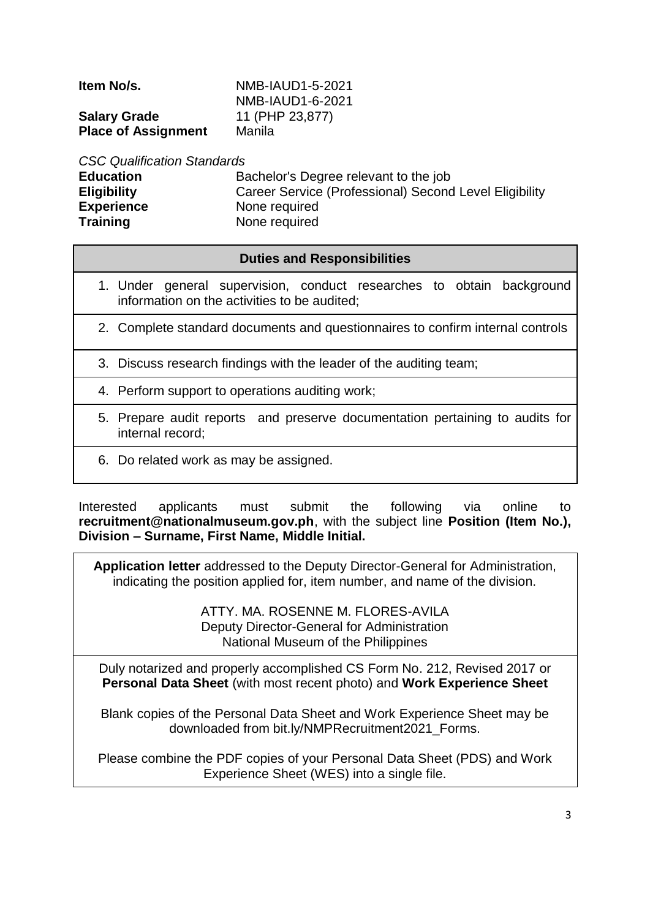**Salary Grade** 11 (PHP 23,877) **Place of Assignment** Manila

**Item No/s.** NMB-IAUD1-5-2021 NMB-IAUD1-6-2021

*CSC Qualification Standards*

**Education Bachelor's Degree relevant to the job Eligibility** Career Service (Professional) Second Level Eligibility **Experience** None required **Training Communist Communist Praining Communist Praise Praise Praise Praise Praise Praise Praise Praise Praise Praise Praise Praise Praise Praise Praise Praise Praise Praise Praise Praise Praise Praise Praise Praise Prais** 

## **Duties and Responsibilities**

- 1. Under general supervision, conduct researches to obtain background information on the activities to be audited;
- 2. Complete standard documents and questionnaires to confirm internal controls
- 3. Discuss research findings with the leader of the auditing team;
- 4. Perform support to operations auditing work;
- 5. Prepare audit reports and preserve documentation pertaining to audits for internal record;
- 6. Do related work as may be assigned.

Interested applicants must submit the following via online to **recruitment@nationalmuseum.gov.ph**, with the subject line **Position (Item No.), Division – Surname, First Name, Middle Initial.**

**Application letter** addressed to the Deputy Director-General for Administration, indicating the position applied for, item number, and name of the division.

> ATTY. MA. ROSENNE M. FLORES-AVILA Deputy Director-General for Administration National Museum of the Philippines

Duly notarized and properly accomplished CS Form No. 212, Revised 2017 or **Personal Data Sheet** (with most recent photo) and **Work Experience Sheet**

Blank copies of the Personal Data Sheet and Work Experience Sheet may be downloaded from bit.ly/NMPRecruitment2021\_Forms.

Please combine the PDF copies of your Personal Data Sheet (PDS) and Work Experience Sheet (WES) into a single file.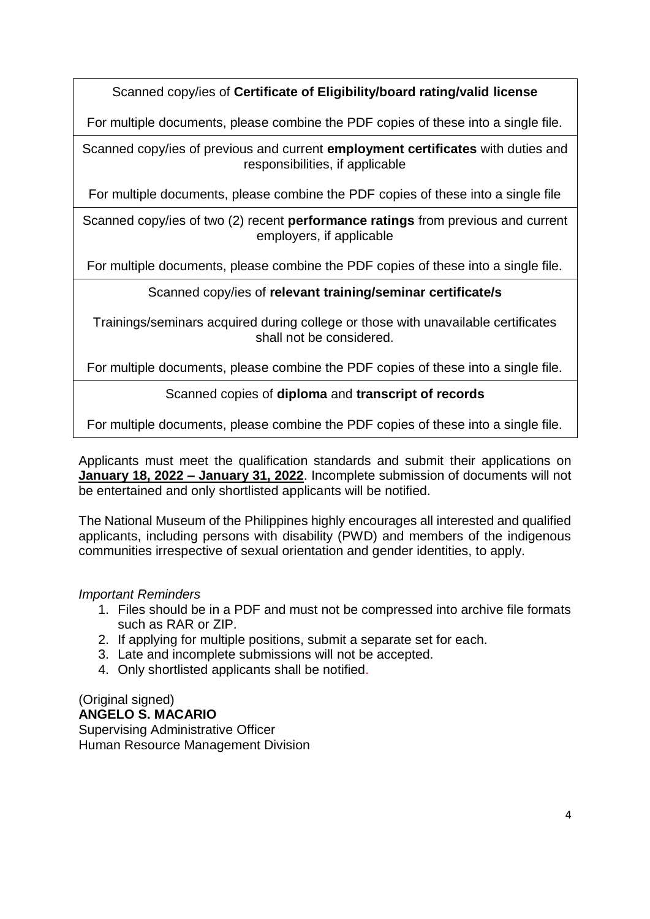Scanned copy/ies of **Certificate of Eligibility/board rating/valid license**

For multiple documents, please combine the PDF copies of these into a single file.

Scanned copy/ies of previous and current **employment certificates** with duties and responsibilities, if applicable

For multiple documents, please combine the PDF copies of these into a single file

Scanned copy/ies of two (2) recent **performance ratings** from previous and current employers, if applicable

For multiple documents, please combine the PDF copies of these into a single file.

# Scanned copy/ies of **relevant training/seminar certificate/s**

Trainings/seminars acquired during college or those with unavailable certificates shall not be considered.

For multiple documents, please combine the PDF copies of these into a single file.

# Scanned copies of **diploma** and **transcript of records**

For multiple documents, please combine the PDF copies of these into a single file.

Applicants must meet the qualification standards and submit their applications on **January 18, 2022 – January 31, 2022**. Incomplete submission of documents will not be entertained and only shortlisted applicants will be notified.

The National Museum of the Philippines highly encourages all interested and qualified applicants, including persons with disability (PWD) and members of the indigenous communities irrespective of sexual orientation and gender identities, to apply.

## *Important Reminders*

- 1. Files should be in a PDF and must not be compressed into archive file formats such as RAR or ZIP.
- 2. If applying for multiple positions, submit a separate set for each.
- 3. Late and incomplete submissions will not be accepted.
- 4. Only shortlisted applicants shall be notified.

# (Original signed) **ANGELO S. MACARIO**

Supervising Administrative Officer Human Resource Management Division